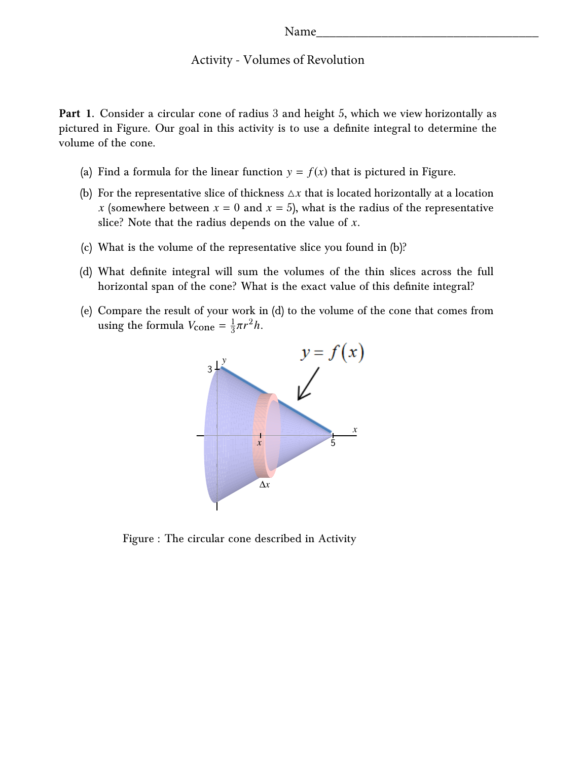## Activity - Volumes of Revolution

**Part 1.** Consider a circular cone of radius 3 and height 5, which we view horizontally as pictured in Figure. Our goal in this activity is to use a definite integral to determine the volume of the cone.

- (a) Find a formula for the linear function  $y = f(x)$  that is pictured in Figure.
- (b) For the representative slice of thickness  $\Delta x$  that is located horizontally at a location *x* (somewhere between  $x = 0$  and  $x = 5$ ), what is the radius of the representative slice? Note that the radius depends on the value of *x*.
- (c) What is the volume of the representative slice you found in (b)?
- (d) What definite integral will sum the volumes of the thin slices across the full horizontal span of the cone? What is the exact value of this definite integral?
- (e) Compare the result of your work in (d) to the volume of the cone that comes from using the formula  $V_{\text{cone}} = \frac{1}{3}$  $rac{1}{3}\pi r^2h$ .



Figure : The circular cone described in Activity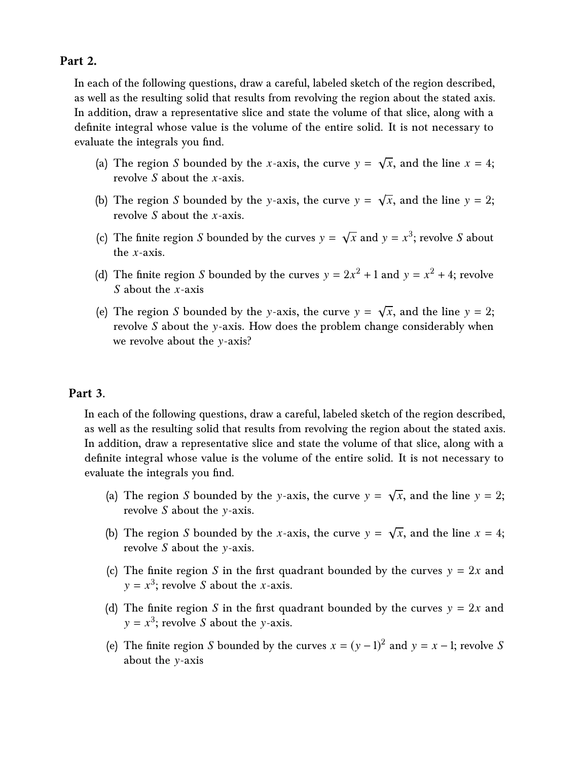## **Part 2.**

In each of the following questions, draw a careful, labeled sketch of the region described, as well as the resulting solid that results from revolving the region about the stated axis. In addition, draw a representative slice and state the volume of that slice, along with a definite integral whose value is the volume of the entire solid. It is not necessary to evaluate the integrals you find.

- (a) The region *S* bounded by the *x*-axis, the curve y = √  $\overline{x}$ , and the line  $x = 4$ ; revolve *S* about the *x*-axis.
- (b) The region  $S$  bounded by the y-axis, the curve  $y =$ √  $\overline{x}$ , and the line  $y = 2$ ; revolve *S* about the *x*-axis.
- (c) The finite region  $S$  bounded by the curves  $y =$ √  $\overline{x}$  and  $y = x^3$ ; revolve *S* about the *x*-axis.
- (d) The finite region *S* bounded by the curves  $y = 2x^2 + 1$  and  $y = x^2 + 4$ ; revolve *S* about the *x*-axis
- (e) The region *S* bounded by the y-axis, the curve y = √  $\overline{x}$ , and the line  $y = 2$ ; revolve *S* about the y-axis. How does the problem change considerably when we revolve about the y-axis?

## **Part 3.**

In each of the following questions, draw a careful, labeled sketch of the region described, as well as the resulting solid that results from revolving the region about the stated axis. In addition, draw a representative slice and state the volume of that slice, along with a definite integral whose value is the volume of the entire solid. It is not necessary to evaluate the integrals you find.

- (a) The region *S* bounded by the y-axis, the curve y = √  $\overline{x}$ , and the line  $y = 2$ ; revolve *S* about the y-axis.
- (b) The region *S* bounded by the *x*-axis, the curve y = √  $\overline{x}$ , and the line  $x = 4$ ; revolve *S* about the y-axis.
- (c) The finite region *S* in the first quadrant bounded by the curves  $y = 2x$  and  $y = x^3$ ; revolve *S* about the *x*-axis.
- (d) The finite region *S* in the first quadrant bounded by the curves  $y = 2x$  and  $y = x^3$ ; revolve *S* about the *y*-axis.
- (e) The finite region *S* bounded by the curves  $x = (y 1)^2$  and  $y = x 1$ ; revolve *S* about the y-axis